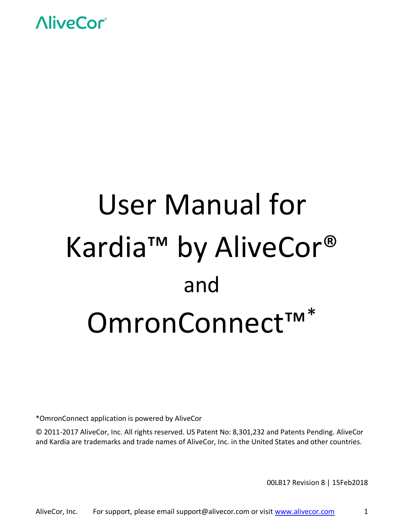

# User Manual for Kardia™ by AliveCor® and OmronConnect<sup>™\*</sup>

\*OmronConnect application is powered by AliveCor

© 2011-2017 AliveCor, Inc. All rights reserved. US Patent No: 8,301,232 and Patents Pending. AliveCor and Kardia are trademarks and trade names of AliveCor, Inc. in the United States and other countries.

00LB17 Revision 8 | 15Feb2018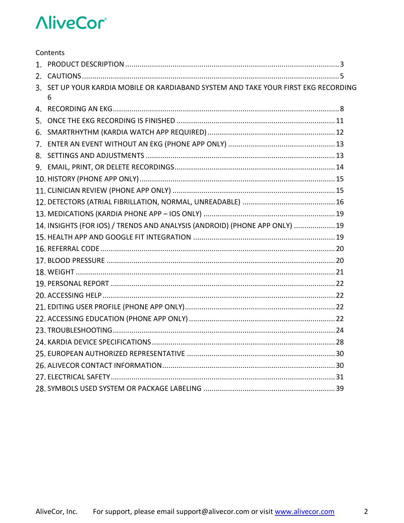| Contents                                                                                 |  |
|------------------------------------------------------------------------------------------|--|
|                                                                                          |  |
|                                                                                          |  |
| 3. SET UP YOUR KARDIA MOBILE OR KARDIABAND SYSTEM AND TAKE YOUR FIRST EKG RECORDING<br>6 |  |
|                                                                                          |  |
|                                                                                          |  |
|                                                                                          |  |
|                                                                                          |  |
|                                                                                          |  |
|                                                                                          |  |
|                                                                                          |  |
|                                                                                          |  |
|                                                                                          |  |
|                                                                                          |  |
| 14. INSIGHTS (FOR IOS) / TRENDS AND ANALYSIS (ANDROID) (PHONE APP ONLY)  19              |  |
|                                                                                          |  |
|                                                                                          |  |
|                                                                                          |  |
|                                                                                          |  |
|                                                                                          |  |
|                                                                                          |  |
|                                                                                          |  |
|                                                                                          |  |
|                                                                                          |  |
|                                                                                          |  |
|                                                                                          |  |
|                                                                                          |  |
|                                                                                          |  |
|                                                                                          |  |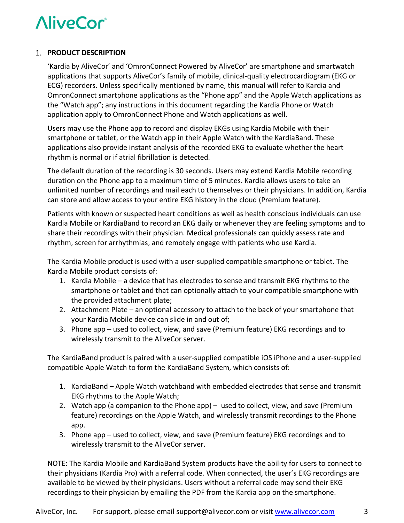#### **PRODUCT DESCRIPTION**

'Kardia by AliveCor' and 'OmronConnect Powered by AliveCor' are smartphone and smartwatch applications that supports AliveCor's family of mobile, clinical-quality electrocardiogram (EKG or ECG) recorders. Unless specifically mentioned by name, this manual will refer to Kardia and OmronConnect smartphone applications as the "Phone app" and the Apple Watch applications as the "Watch app"; any instructions in this document regarding the Kardia Phone or Watch application apply to OmronConnect Phone and Watch applications as well.

Users may use the Phone app to record and display EKGs using Kardia Mobile with their smartphone or tablet, or the Watch app in their Apple Watch with the KardiaBand. These applications also provide instant analysis of the recorded EKG to evaluate whether the heart rhythm is normal or if atrial fibrillation is detected.

The default duration of the recording is 30 seconds. Users may extend Kardia Mobile recording duration on the Phone app to a maximum time of 5 minutes. Kardia allows users to take an unlimited number of recordings and mail each to themselves or their physicians. In addition, Kardia can store and allow access to your entire EKG history in the cloud (Premium feature).

Patients with known or suspected heart conditions as well as health conscious individuals can use Kardia Mobile or KardiaBand to record an EKG daily or whenever they are feeling symptoms and to share their recordings with their physician. Medical professionals can quickly assess rate and rhythm, screen for arrhythmias, and remotely engage with patients who use Kardia.

The Kardia Mobile product is used with a user-supplied compatible smartphone or tablet. The Kardia Mobile product consists of:

- 1. Kardia Mobile a device that has electrodes to sense and transmit EKG rhythms to the smartphone or tablet and that can optionally attach to your compatible smartphone with the provided attachment plate;
- 2. Attachment Plate an optional accessory to attach to the back of your smartphone that your Kardia Mobile device can slide in and out of;
- 3. Phone app used to collect, view, and save (Premium feature) EKG recordings and to wirelessly transmit to the AliveCor server.

The KardiaBand product is paired with a user-supplied compatible iOS iPhone and a user-supplied compatible Apple Watch to form the KardiaBand System, which consists of:

- 1. KardiaBand Apple Watch watchband with embedded electrodes that sense and transmit EKG rhythms to the Apple Watch;
- 2. Watch app (a companion to the Phone app) used to collect, view, and save (Premium feature) recordings on the Apple Watch, and wirelessly transmit recordings to the Phone app.
- 3. Phone app used to collect, view, and save (Premium feature) EKG recordings and to wirelessly transmit to the AliveCor server.

NOTE: The Kardia Mobile and KardiaBand System products have the ability for users to connect to their physicians (Kardia Pro) with a referral code. When connected, the user's EKG recordings are available to be viewed by their physicians. Users without a referral code may send their EKG recordings to their physician by emailing the PDF from the Kardia app on the smartphone.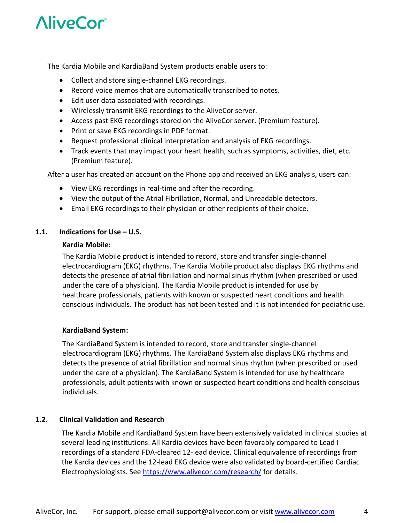The Kardia Mobile and KardiaBand System products enable users to:

- Collect and store single-channel EKG recordings.
- Record voice memos that are automatically transcribed to notes.
- Edit user data associated with recordings.
- Wirelessly transmit EKG recordings to the AliveCor server.
- Access past EKG recordings stored on the AliveCor server. (Premium feature).
- Print or save EKG recordings in PDF format.
- Request professional clinical interpretation and analysis of EKG recordings.
- Track events that may impact your heart health, such as symptoms, activities, diet, etc. (Premium feature).

After a user has created an account on the Phone app and received an EKG analysis, users can:

- View EKG recordings in real-time and after the recording.
- View the output of the Atrial Fibrillation, Normal, and Unreadable detectors.
- Email EKG recordings to their physician or other recipients of their choice.

#### **1.1. Indications for Use – U.S.**

#### **Kardia Mobile:**

The Kardia Mobile product is intended to record, store and transfer single-channel electrocardiogram (EKG) rhythms. The Kardia Mobile product also displays EKG rhythms and detects the presence of atrial fibrillation and normal sinus rhythm (when prescribed or used under the care of a physician). The Kardia Mobile product is intended for use by healthcare professionals, patients with known or suspected heart conditions and health conscious individuals. The product has not been tested and it is not intended for pediatric use.

#### **KardiaBand System:**

The KardiaBand System is intended to record, store and transfer single-channel electrocardiogram (EKG) rhythms. The KardiaBand System also displays EKG rhythms and detects the presence of atrial fibrillation and normal sinus rhythm (when prescribed or used under the care of a physician). The KardiaBand System is intended for use by healthcare professionals, adult patients with known or suspected heart conditions and health conscious individuals.

#### **1.2. Clinical Validation and Research**

The Kardia Mobile and KardiaBand System have been extensively validated in clinical studies at several leading institutions. All Kardia devices have been favorably compared to Lead I recordings of a standard FDA-cleared 12-lead device. Clinical equivalence of recordings from the Kardia devices and the 12-lead EKG device were also validated by board-certified Cardiac Electrophysiologists. See https://www.alivecor.com/research/ for details.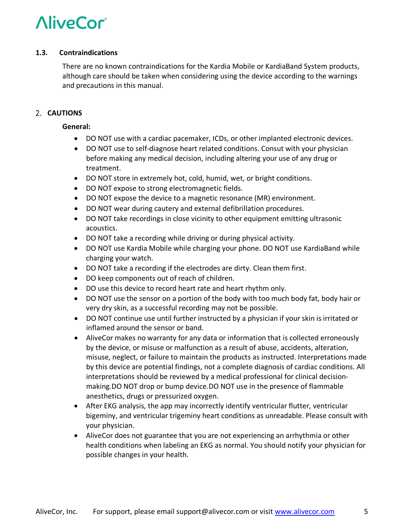#### **1.3. Contraindications**

There are no known contraindications for the Kardia Mobile or KardiaBand System products, although care should be taken when considering using the device according to the warnings and precautions in this manual.

#### 2. **CAUTIONS**

#### **General:**

- DO NOT use with a cardiac pacemaker, ICDs, or other implanted electronic devices.
- DO NOT use to self-diagnose heart related conditions. Consut with your physician before making any medical decision, including altering your use of any drug or treatment.
- DO NOT store in extremely hot, cold, humid, wet, or bright conditions.
- DO NOT expose to strong electromagnetic fields.
- DO NOT expose the device to a magnetic resonance (MR) environment.
- DO NOT wear during cautery and external defibrillation procedures.
- DO NOT take recordings in close vicinity to other equipment emitting ultrasonic acoustics.
- DO NOT take a recording while driving or during physical activity.
- DO NOT use Kardia Mobile while charging your phone. DO NOT use KardiaBand while charging your watch.
- DO NOT take a recording if the electrodes are dirty. Clean them first.
- DO keep components out of reach of children.
- DO use this device to record heart rate and heart rhythm only.
- DO NOT use the sensor on a portion of the body with too much body fat, body hair or very dry skin, as a successful recording may not be possible.
- DO NOT continue use until further instructed by a physician if your skin is irritated or inflamed around the sensor or band.
- AliveCor makes no warranty for any data or information that is collected erroneously by the device, or misuse or malfunction as a result of abuse, accidents, alteration, misuse, neglect, or failure to maintain the products as instructed. Interpretations made by this device are potential findings, not a complete diagnosis of cardiac conditions. All interpretations should be reviewed by a medical professional for clinical decisionmaking.DO NOT drop or bump device.DO NOT use in the presence of flammable anesthetics, drugs or pressurized oxygen.
- After EKG analysis, the app may incorrectly identify ventricular flutter, ventricular bigeminy, and ventricular trigeminy heart conditions as unreadable. Please consult with your physician.
- AliveCor does not guarantee that you are not experiencing an arrhythmia or other health conditions when labeling an EKG as normal. You should notify your physician for possible changes in your health.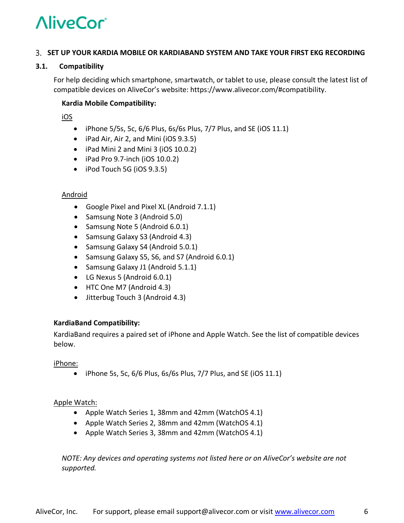#### **SET UP YOUR KARDIA MOBILE OR KARDIABAND SYSTEM AND TAKE YOUR FIRST EKG RECORDING**

#### **3.1. Compatibility**

For help deciding which smartphone, smartwatch, or tablet to use, please consult the latest list of compatible devices on AliveCor's website: https://www.alivecor.com/#compatibility.

#### **Kardia Mobile Compatibility:**

iOS

- iPhone  $5/5s$ , 5c,  $6/6$  Plus,  $6s/6s$  Plus,  $7/7$  Plus, and SE (iOS 11.1)
- iPad Air, Air 2, and Mini (iOS 9.3.5)
- iPad Mini 2 and Mini 3 (iOS 10.0.2)
- iPad Pro 9.7-inch (iOS 10.0.2)
- iPod Touch 5G (iOS 9.3.5)

#### Android

- Google Pixel and Pixel XL (Android 7.1.1)
- Samsung Note 3 (Android 5.0)
- Samsung Note 5 (Android 6.0.1)
- Samsung Galaxy S3 (Android 4.3)
- Samsung Galaxy S4 (Android 5.0.1)
- Samsung Galaxy S5, S6, and S7 (Android 6.0.1)
- Samsung Galaxy J1 (Android 5.1.1)
- LG Nexus 5 (Android 6.0.1)
- HTC One M7 (Android 4.3)
- Jitterbug Touch 3 (Android 4.3)

#### **KardiaBand Compatibility:**

KardiaBand requires a paired set of iPhone and Apple Watch. See the list of compatible devices below.

iPhone:

• iPhone 5s, 5c,  $6/6$  Plus,  $6/6$  Plus,  $7/7$  Plus, and SE (iOS 11.1)

#### Apple Watch:

- Apple Watch Series 1, 38mm and 42mm (WatchOS 4.1)
- Apple Watch Series 2, 38mm and 42mm (WatchOS 4.1)
- Apple Watch Series 3, 38mm and 42mm (WatchOS 4.1)

*NOTE: Any devices and operating systems not listed here or on AliveCor's website are not supported.*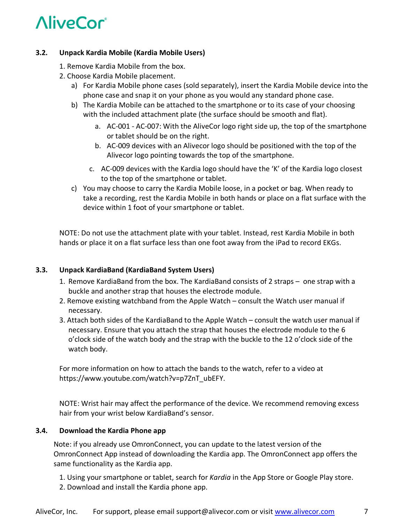#### **3.2. Unpack Kardia Mobile (Kardia Mobile Users)**

- 1. Remove Kardia Mobile from the box.
- 2. Choose Kardia Mobile placement.
	- a) For Kardia Mobile phone cases (sold separately), insert the Kardia Mobile device into the phone case and snap it on your phone as you would any standard phone case.
	- b) The Kardia Mobile can be attached to the smartphone or to its case of your choosing with the included attachment plate (the surface should be smooth and flat).
		- a. AC-001 AC-007: With the AliveCor logo right side up, the top of the smartphone or tablet should be on the right.
		- b. AC-009 devices with an Alivecor logo should be positioned with the top of the Alivecor logo pointing towards the top of the smartphone.
		- c. AC-009 devices with the Kardia logo should have the 'K' of the Kardia logo closest to the top of the smartphone or tablet.
	- c) You may choose to carry the Kardia Mobile loose, in a pocket or bag. When ready to take a recording, rest the Kardia Mobile in both hands or place on a flat surface with the device within 1 foot of your smartphone or tablet.

NOTE: Do not use the attachment plate with your tablet. Instead, rest Kardia Mobile in both hands or place it on a flat surface less than one foot away from the iPad to record EKGs.

#### **3.3. Unpack KardiaBand (KardiaBand System Users)**

- 1. Remove KardiaBand from the box. The KardiaBand consists of 2 straps one strap with a buckle and another strap that houses the electrode module.
- 2. Remove existing watchband from the Apple Watch consult the Watch user manual if necessary.
- 3. Attach both sides of the KardiaBand to the Apple Watch consult the watch user manual if necessary. Ensure that you attach the strap that houses the electrode module to the 6 o'clock side of the watch body and the strap with the buckle to the 12 o'clock side of the watch body.

For more information on how to attach the bands to the watch, refer to a video at https://www.youtube.com/watch?v=p7ZnT\_ubEFY.

NOTE: Wrist hair may affect the performance of the device. We recommend removing excess hair from your wrist below KardiaBand's sensor.

#### **3.4. Download the Kardia Phone app**

Note: if you already use OmronConnect, you can update to the latest version of the OmronConnect App instead of downloading the Kardia app. The OmronConnect app offers the same functionality as the Kardia app.

- 1. Using your smartphone or tablet, search for *Kardia* in the App Store or Google Play store.
- 2. Download and install the Kardia phone app.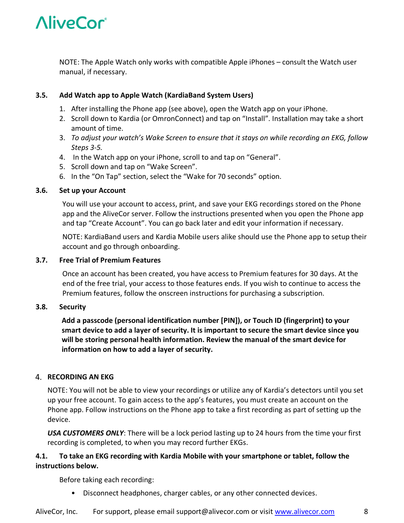

NOTE: The Apple Watch only works with compatible Apple iPhones – consult the Watch user manual, if necessary.

#### **3.5. Add Watch app to Apple Watch (KardiaBand System Users)**

- 1. After installing the Phone app (see above), open the Watch app on your iPhone.
- 2. Scroll down to Kardia (or OmronConnect) and tap on "Install". Installation may take a short amount of time.
- 3. *To adjust your watch's Wake Screen to ensure that it stays on while recording an EKG, follow Steps 3-5.*
- 4. In the Watch app on your iPhone, scroll to and tap on "General".
- 5. Scroll down and tap on "Wake Screen".
- 6. In the "On Tap" section, select the "Wake for 70 seconds" option.

#### **3.6. Set up your Account**

You will use your account to access, print, and save your EKG recordings stored on the Phone app and the AliveCor server. Follow the instructions presented when you open the Phone app and tap "Create Account". You can go back later and edit your information if necessary.

NOTE: KardiaBand users and Kardia Mobile users alike should use the Phone app to setup their account and go through onboarding.

#### **3.7. Free Trial of Premium Features**

Once an account has been created, you have access to Premium features for 30 days. At the end of the free trial, your access to those features ends. If you wish to continue to access the Premium features, follow the onscreen instructions for purchasing a subscription.

#### **3.8. Security**

**Add a passcode (personal identification number [PIN]), or Touch ID (fingerprint) to your smart device to add a layer of security. It is important to secure the smart device since you will be storing personal health information. Review the manual of the smart device for information on how to add a layer of security.**

#### **RECORDING AN EKG**

NOTE: You will not be able to view your recordings or utilize any of Kardia's detectors until you set up your free account. To gain access to the app's features, you must create an account on the Phone app. Follow instructions on the Phone app to take a first recording as part of setting up the device.

*USA CUSTOMERS ONLY*: There will be a lock period lasting up to 24 hours from the time your first recording is completed, to when you may record further EKGs.

#### **4.1. To take an EKG recording with Kardia Mobile with your smartphone or tablet, follow the instructions below.**

Before taking each recording:

• Disconnect headphones, charger cables, or any other connected devices.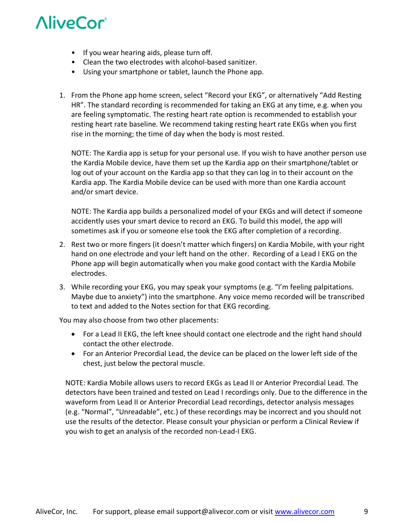- If you wear hearing aids, please turn off.
- Clean the two electrodes with alcohol-based sanitizer.
- Using your smartphone or tablet, launch the Phone app.
- 1. From the Phone app home screen, select "Record your EKG", or alternatively "Add Resting HR". The standard recording is recommended for taking an EKG at any time, e.g. when you are feeling symptomatic. The resting heart rate option is recommended to establish your resting heart rate baseline. We recommend taking resting heart rate EKGs when you first rise in the morning; the time of day when the body is most rested.

NOTE: The Kardia app is setup for your personal use. If you wish to have another person use the Kardia Mobile device, have them set up the Kardia app on their smartphone/tablet or log out of your account on the Kardia app so that they can log in to their account on the Kardia app. The Kardia Mobile device can be used with more than one Kardia account and/or smart device.

NOTE: The Kardia app builds a personalized model of your EKGs and will detect if someone accidently uses your smart device to record an EKG. To build this model, the app will sometimes ask if you or someone else took the EKG after completion of a recording.

- 2. Rest two or more fingers (it doesn't matter which fingers) on Kardia Mobile, with your right hand on one electrode and your left hand on the other. Recording of a Lead I EKG on the Phone app will begin automatically when you make good contact with the Kardia Mobile electrodes.
- 3. While recording your EKG, you may speak your symptoms (e.g. "I'm feeling palpitations. Maybe due to anxiety") into the smartphone. Any voice memo recorded will be transcribed to text and added to the Notes section for that EKG recording.

You may also choose from two other placements:

- For a Lead II EKG, the left knee should contact one electrode and the right hand should contact the other electrode.
- For an Anterior Precordial Lead, the device can be placed on the lower left side of the chest, just below the pectoral muscle.

NOTE: Kardia Mobile allows users to record EKGs as Lead II or Anterior Precordial Lead. The detectors have been trained and tested on Lead I recordings only. Due to the difference in the waveform from Lead II or Anterior Precordial Lead recordings, detector analysis messages (e.g. "Normal", "Unreadable", etc.) of these recordings may be incorrect and you should not use the results of the detector. Please consult your physician or perform a Clinical Review if you wish to get an analysis of the recorded non-Lead-I EKG.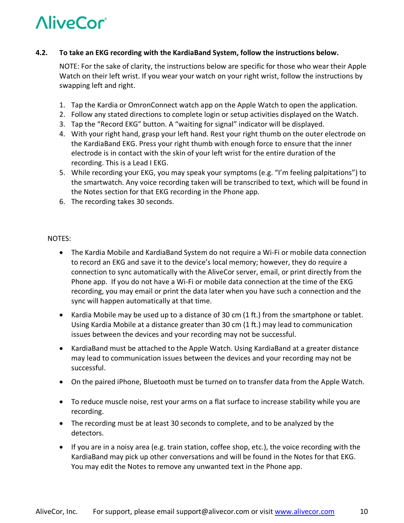#### **4.2. To take an EKG recording with the KardiaBand System, follow the instructions below.**

NOTE: For the sake of clarity, the instructions below are specific for those who wear their Apple Watch on their left wrist. If you wear your watch on your right wrist, follow the instructions by swapping left and right.

- 1. Tap the Kardia or OmronConnect watch app on the Apple Watch to open the application.
- 2. Follow any stated directions to complete login or setup activities displayed on the Watch.
- 3. Tap the "Record EKG" button. A "waiting for signal" indicator will be displayed.
- 4. With your right hand, grasp your left hand. Rest your right thumb on the outer electrode on the KardiaBand EKG. Press your right thumb with enough force to ensure that the inner electrode is in contact with the skin of your left wrist for the entire duration of the recording. This is a Lead I EKG.
- 5. While recording your EKG, you may speak your symptoms (e.g. "I'm feeling palpitations") to the smartwatch. Any voice recording taken will be transcribed to text, which will be found in the Notes section for that EKG recording in the Phone app.
- 6. The recording takes 30 seconds.

#### NOTES:

- The Kardia Mobile and KardiaBand System do not require a Wi-Fi or mobile data connection to record an EKG and save it to the device's local memory; however, they do require a connection to sync automatically with the AliveCor server, email, or print directly from the Phone app. If you do not have a Wi-Fi or mobile data connection at the time of the EKG recording, you may email or print the data later when you have such a connection and the sync will happen automatically at that time.
- Kardia Mobile may be used up to a distance of 30 cm (1 ft.) from the smartphone or tablet. Using Kardia Mobile at a distance greater than 30 cm (1 ft.) may lead to communication issues between the devices and your recording may not be successful.
- KardiaBand must be attached to the Apple Watch. Using KardiaBand at a greater distance may lead to communication issues between the devices and your recording may not be successful.
- On the paired iPhone, Bluetooth must be turned on to transfer data from the Apple Watch.
- To reduce muscle noise, rest your arms on a flat surface to increase stability while you are recording.
- The recording must be at least 30 seconds to complete, and to be analyzed by the detectors.
- If you are in a noisy area (e.g. train station, coffee shop, etc.), the voice recording with the KardiaBand may pick up other conversations and will be found in the Notes for that EKG. You may edit the Notes to remove any unwanted text in the Phone app.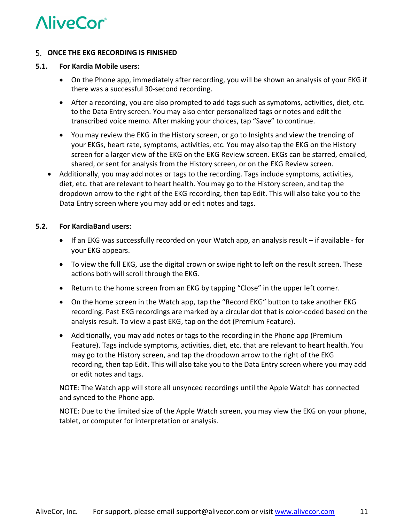

#### **ONCE THE EKG RECORDING IS FINISHED**

#### **5.1. For Kardia Mobile users:**

- On the Phone app, immediately after recording, you will be shown an analysis of your EKG if there was a successful 30-second recording.
- After a recording, you are also prompted to add tags such as symptoms, activities, diet, etc. to the Data Entry screen. You may also enter personalized tags or notes and edit the transcribed voice memo. After making your choices, tap "Save" to continue.
- You may review the EKG in the History screen, or go to Insights and view the trending of your EKGs, heart rate, symptoms, activities, etc. You may also tap the EKG on the History screen for a larger view of the EKG on the EKG Review screen. EKGs can be starred, emailed, shared, or sent for analysis from the History screen, or on the EKG Review screen.
- Additionally, you may add notes or tags to the recording. Tags include symptoms, activities, diet, etc. that are relevant to heart health. You may go to the History screen, and tap the dropdown arrow to the right of the EKG recording, then tap Edit. This will also take you to the Data Entry screen where you may add or edit notes and tags.

#### **5.2. For KardiaBand users:**

- If an EKG was successfully recorded on your Watch app, an analysis result if available for your EKG appears.
- To view the full EKG, use the digital crown or swipe right to left on the result screen. These actions both will scroll through the EKG.
- Return to the home screen from an EKG by tapping "Close" in the upper left corner.
- On the home screen in the Watch app, tap the "Record EKG" button to take another EKG recording. Past EKG recordings are marked by a circular dot that is color-coded based on the analysis result. To view a past EKG, tap on the dot (Premium Feature).
- Additionally, you may add notes or tags to the recording in the Phone app (Premium Feature). Tags include symptoms, activities, diet, etc. that are relevant to heart health. You may go to the History screen, and tap the dropdown arrow to the right of the EKG recording, then tap Edit. This will also take you to the Data Entry screen where you may add or edit notes and tags.

NOTE: The Watch app will store all unsynced recordings until the Apple Watch has connected and synced to the Phone app.

NOTE: Due to the limited size of the Apple Watch screen, you may view the EKG on your phone, tablet, or computer for interpretation or analysis.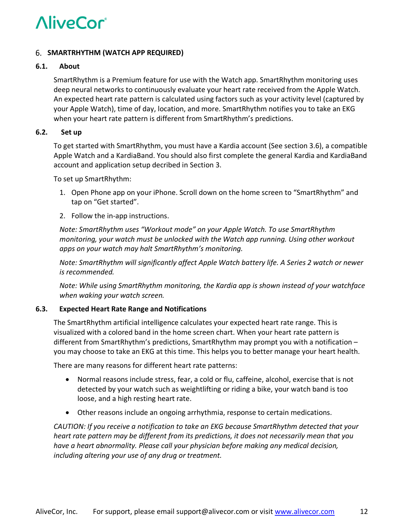#### **SMARTRHYTHM (WATCH APP REQUIRED)**

#### **6.1. About**

SmartRhythm is a Premium feature for use with the Watch app. SmartRhythm monitoring uses deep neural networks to continuously evaluate your heart rate received from the Apple Watch. An expected heart rate pattern is calculated using factors such as your activity level (captured by your Apple Watch), time of day, location, and more. SmartRhythm notifies you to take an EKG when your heart rate pattern is different from SmartRhythm's predictions.

#### **6.2. Set up**

To get started with SmartRhythm, you must have a Kardia account (See section 3.6), a compatible Apple Watch and a KardiaBand. You should also first complete the general Kardia and KardiaBand account and application setup decribed in Section 3.

To set up SmartRhythm:

- 1. Open Phone app on your iPhone. Scroll down on the home screen to "SmartRhythm" and tap on "Get started".
- 2. Follow the in-app instructions.

*Note: SmartRhythm uses "Workout mode" on your Apple Watch. To use SmartRhythm monitoring, your watch must be unlocked with the Watch app running. Using other workout apps on your watch may halt SmartRhythm's monitoring.*

*Note: SmartRhythm will significantly affect Apple Watch battery life. A Series 2 watch or newer is recommended.*

*Note: While using SmartRhythm monitoring, the Kardia app is shown instead of your watchface when waking your watch screen.*

#### **6.3. Expected Heart Rate Range and Notifications**

The SmartRhythm artificial intelligence calculates your expected heart rate range. This is visualized with a colored band in the home screen chart. When your heart rate pattern is different from SmartRhythm's predictions, SmartRhythm may prompt you with a notification – you may choose to take an EKG at this time. This helps you to better manage your heart health.

There are many reasons for different heart rate patterns:

- Normal reasons include stress, fear, a cold or flu, caffeine, alcohol, exercise that is not detected by your watch such as weightlifting or riding a bike, your watch band is too loose, and a high resting heart rate.
- Other reasons include an ongoing arrhythmia, response to certain medications.

*CAUTION: If you receive a notification to take an EKG because SmartRhythm detected that your heart rate pattern may be different from its predictions, it does not necessarily mean that you have a heart abnormality. Please call your physician before making any medical decision, including altering your use of any drug or treatment.*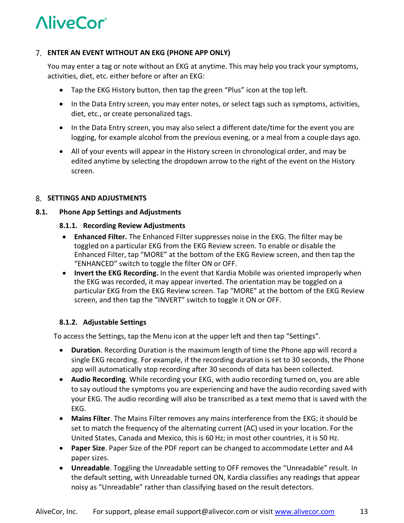#### **ENTER AN EVENT WITHOUT AN EKG (PHONE APP ONLY)**

You may enter a tag or note without an EKG at anytime. This may help you track your symptoms, activities, diet, etc. either before or after an EKG:

- Tap the EKG History button, then tap the green "Plus" icon at the top left.
- In the Data Entry screen, you may enter notes, or select tags such as symptoms, activities, diet, etc., or create personalized tags.
- In the Data Entry screen, you may also select a different date/time for the event you are logging, for example alcohol from the previous evening, or a meal from a couple days ago.
- All of your events will appear in the History screen in chronological order, and may be edited anytime by selecting the dropdown arrow to the right of the event on the History screen.

#### **SETTINGS AND ADJUSTMENTS**

#### **8.1. Phone App Settings and Adjustments**

#### **8.1.1. Recording Review Adjustments**

- **Enhanced Filter.** The Enhanced Filter suppresses noise in the EKG. The filter may be toggled on a particular EKG from the EKG Review screen. To enable or disable the Enhanced Filter, tap "MORE" at the bottom of the EKG Review screen, and then tap the "ENHANCED" switch to toggle the filter ON or OFF.
- **Invert the EKG Recording.** In the event that Kardia Mobile was oriented improperly when the EKG was recorded, it may appear inverted. The orientation may be toggled on a particular EKG from the EKG Review screen. Tap "MORE" at the bottom of the EKG Review screen, and then tap the "INVERT" switch to toggle it ON or OFF.

#### **8.1.2. Adjustable Settings**

To access the Settings, tap the Menu icon at the upper left and then tap "Settings".

- **Duration**. Recording Duration is the maximum length of time the Phone app will record a single EKG recording. For example, if the recording duration is set to 30 seconds, the Phone app will automatically stop recording after 30 seconds of data has been collected.
- **Audio Recording**. While recording your EKG, with audio recording turned on, you are able to say outloud the symptoms you are experiencing and have the audio recording saved with your EKG. The audio recording will also be transcribed as a text memo that is saved with the EKG.
- **Mains Filter**. The Mains Filter removes any mains interference from the EKG; it should be set to match the frequency of the alternating current (AC) used in your location. For the United States, Canada and Mexico, this is 60 Hz; in most other countries, it is 50 Hz.
- **Paper Size**. Paper Size of the PDF report can be changed to accommodate Letter and A4 paper sizes.
- **Unreadable**. Toggling the Unreadable setting to OFF removes the "Unreadable" result. In the default setting, with Unreadable turned ON, Kardia classifies any readings that appear noisy as "Unreadable" rather than classifying based on the result detectors.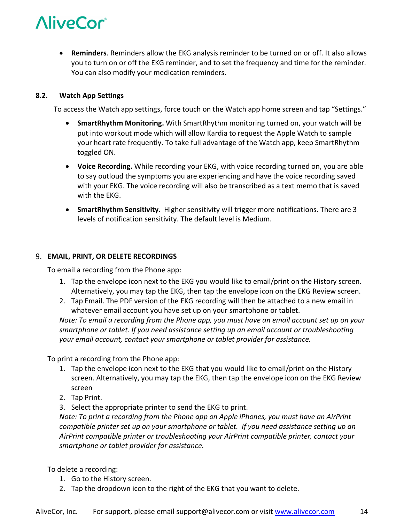

• **Reminders**. Reminders allow the EKG analysis reminder to be turned on or off. It also allows you to turn on or off the EKG reminder, and to set the frequency and time for the reminder. You can also modify your medication reminders.

#### **8.2. Watch App Settings**

To access the Watch app settings, force touch on the Watch app home screen and tap "Settings."

- **SmartRhythm Monitoring.** With SmartRhythm monitoring turned on, your watch will be put into workout mode which will allow Kardia to request the Apple Watch to sample your heart rate frequently. To take full advantage of the Watch app, keep SmartRhythm toggled ON.
- **Voice Recording.** While recording your EKG, with voice recording turned on, you are able to say outloud the symptoms you are experiencing and have the voice recording saved with your EKG. The voice recording will also be transcribed as a text memo that is saved with the EKG.
- **SmartRhythm Sensitivity.** Higher sensitivity will trigger more notifications. There are 3 levels of notification sensitivity. The default level is Medium.

#### **EMAIL, PRINT, OR DELETE RECORDINGS**

To email a recording from the Phone app:

- 1. Tap the envelope icon next to the EKG you would like to email/print on the History screen. Alternatively, you may tap the EKG, then tap the envelope icon on the EKG Review screen.
- 2. Tap Email. The PDF version of the EKG recording will then be attached to a new email in whatever email account you have set up on your smartphone or tablet.

*Note: To email a recording from the Phone app, you must have an email account set up on your smartphone or tablet. If you need assistance setting up an email account or troubleshooting your email account, contact your smartphone or tablet provider for assistance.*

To print a recording from the Phone app:

- 1. Tap the envelope icon next to the EKG that you would like to email/print on the History screen. Alternatively, you may tap the EKG, then tap the envelope icon on the EKG Review screen
- 2. Tap Print.
- 3. Select the appropriate printer to send the EKG to print.

*Note: To print a recording from the Phone app on Apple iPhones, you must have an AirPrint compatible printer set up on your smartphone or tablet. If you need assistance setting up an AirPrint compatible printer or troubleshooting your AirPrint compatible printer, contact your smartphone or tablet provider for assistance.*

To delete a recording:

- 1. Go to the History screen.
- 2. Tap the dropdown icon to the right of the EKG that you want to delete.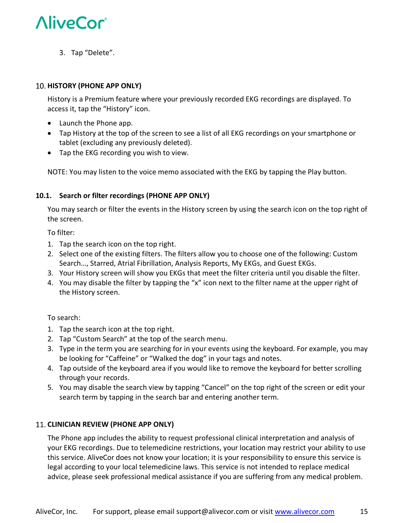

3. Tap "Delete".

#### **HISTORY (PHONE APP ONLY)**

History is a Premium feature where your previously recorded EKG recordings are displayed. To access it, tap the "History" icon.

- Launch the Phone app.
- Tap History at the top of the screen to see a list of all EKG recordings on your smartphone or tablet (excluding any previously deleted).
- Tap the EKG recording you wish to view.

NOTE: You may listen to the voice memo associated with the EKG by tapping the Play button.

#### **10.1. Search or filter recordings (PHONE APP ONLY)**

You may search or filter the events in the History screen by using the search icon on the top right of the screen.

To filter:

- 1. Tap the search icon on the top right.
- 2. Select one of the existing filters. The filters allow you to choose one of the following: Custom Search…, Starred, Atrial Fibrillation, Analysis Reports, My EKGs, and Guest EKGs.
- 3. Your History screen will show you EKGs that meet the filter criteria until you disable the filter.
- 4. You may disable the filter by tapping the "x" icon next to the filter name at the upper right of the History screen.

#### To search:

- 1. Tap the search icon at the top right.
- 2. Tap "Custom Search" at the top of the search menu.
- 3. Type in the term you are searching for in your events using the keyboard. For example, you may be looking for "Caffeine" or "Walked the dog" in your tags and notes.
- 4. Tap outside of the keyboard area if you would like to remove the keyboard for better scrolling through your records.
- 5. You may disable the search view by tapping "Cancel" on the top right of the screen or edit your search term by tapping in the search bar and entering another term.

#### **CLINICIAN REVIEW (PHONE APP ONLY)**

The Phone app includes the ability to request professional clinical interpretation and analysis of your EKG recordings. Due to telemedicine restrictions, your location may restrict your ability to use this service. AliveCor does not know your location; it is your responsibility to ensure this service is legal according to your local telemedicine laws. This service is not intended to replace medical advice, please seek professional medical assistance if you are suffering from any medical problem.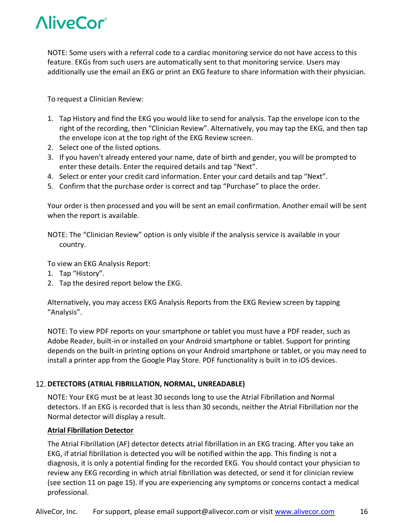

NOTE: Some users with a referral code to a cardiac monitoring service do not have access to this feature. EKGs from such users are automatically sent to that monitoring service. Users may additionally use the email an EKG or print an EKG feature to share information with their physician.

To request a Clinician Review:

- 1. Tap History and find the EKG you would like to send for analysis. Tap the envelope icon to the right of the recording, then "Clinician Review". Alternatively, you may tap the EKG, and then tap the envelope icon at the top right of the EKG Review screen.
- 2. Select one of the listed options.
- 3. If you haven't already entered your name, date of birth and gender, you will be prompted to enter these details. Enter the required details and tap "Next".
- 4. Select or enter your credit card information. Enter your card details and tap "Next".
- 5. Confirm that the purchase order is correct and tap "Purchase" to place the order.

Your order is then processed and you will be sent an email confirmation. Another email will be sent when the report is available.

NOTE: The "Clinician Review" option is only visible if the analysis service is available in your country.

To view an EKG Analysis Report:

- 1. Tap "History".
- 2. Tap the desired report below the EKG.

Alternatively, you may access EKG Analysis Reports from the EKG Review screen by tapping "Analysis".

NOTE: To view PDF reports on your smartphone or tablet you must have a PDF reader, such as Adobe Reader, built-in or installed on your Android smartphone or tablet. Support for printing depends on the built-in printing options on your Android smartphone or tablet, or you may need to install a printer app from the Google Play Store. PDF functionality is built in to iOS devices.

#### **DETECTORS (ATRIAL FIBRILLATION, NORMAL, UNREADABLE)**

NOTE: Your EKG must be at least 30 seconds long to use the Atrial Fibrillation and Normal detectors. If an EKG is recorded that is less than 30 seconds, neither the Atrial Fibrillation nor the Normal detector will display a result.

#### **Atrial Fibrillation Detector**

The Atrial Fibrillation (AF) detector detects atrial fibrillation in an EKG tracing. After you take an EKG, if atrial fibrillation is detected you will be notified within the app. This finding is not a diagnosis, it is only a potential finding for the recorded EKG. You should contact your physician to review any EKG recording in which atrial fibrillation was detected, or send it for clinician review (see section 11 on page 15). If you are experiencing any symptoms or concerns contact a medical professional.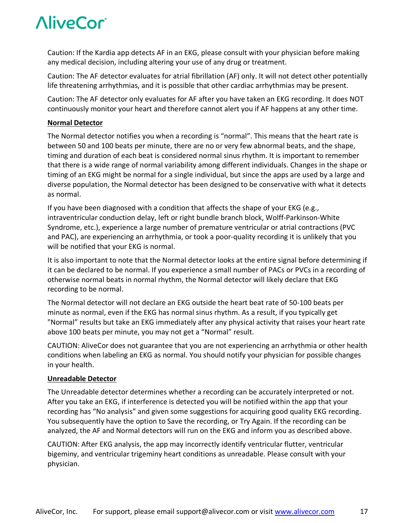Caution: If the Kardia app detects AF in an EKG, please consult with your physician before making any medical decision, including altering your use of any drug or treatment.

Caution: The AF detector evaluates for atrial fibrillation (AF) only. It will not detect other potentially life threatening arrhythmias, and it is possible that other cardiac arrhythmias may be present.

Caution: The AF detector only evaluates for AF after you have taken an EKG recording. It does NOT continuously monitor your heart and therefore cannot alert you if AF happens at any other time.

#### **Normal Detector**

The Normal detector notifies you when a recording is "normal". This means that the heart rate is between 50 and 100 beats per minute, there are no or very few abnormal beats, and the shape, timing and duration of each beat is considered normal sinus rhythm. It is important to remember that there is a wide range of normal variability among different individuals. Changes in the shape or timing of an EKG might be normal for a single individual, but since the apps are used by a large and diverse population, the Normal detector has been designed to be conservative with what it detects as normal.

If you have been diagnosed with a condition that affects the shape of your EKG (e.g., intraventricular conduction delay, left or right bundle branch block, Wolff-Parkinson-White Syndrome, etc.), experience a large number of premature ventricular or atrial contractions (PVC and PAC), are experiencing an arrhythmia, or took a poor-quality recording it is unlikely that you will be notified that your EKG is normal.

It is also important to note that the Normal detector looks at the entire signal before determining if it can be declared to be normal. If you experience a small number of PACs or PVCs in a recording of otherwise normal beats in normal rhythm, the Normal detector will likely declare that EKG recording to be normal.

The Normal detector will not declare an EKG outside the heart beat rate of 50-100 beats per minute as normal, even if the EKG has normal sinus rhythm. As a result, if you typically get "Normal" results but take an EKG immediately after any physical activity that raises your heart rate above 100 beats per minute, you may not get a "Normal" result.

CAUTION: AliveCor does not guarantee that you are not experiencing an arrhythmia or other health conditions when labeling an EKG as normal. You should notify your physician for possible changes in your health.

#### **Unreadable Detector**

The Unreadable detector determines whether a recording can be accurately interpreted or not. After you take an EKG, if interference is detected you will be notified within the app that your recording has "No analysis" and given some suggestions for acquiring good quality EKG recording. You subsequently have the option to Save the recording, or Try Again. If the recording can be analyzed, the AF and Normal detectors will run on the EKG and inform you as described above.

CAUTION: After EKG analysis, the app may incorrectly identify ventricular flutter, ventricular bigeminy, and ventricular trigeminy heart conditions as unreadable. Please consult with your physician.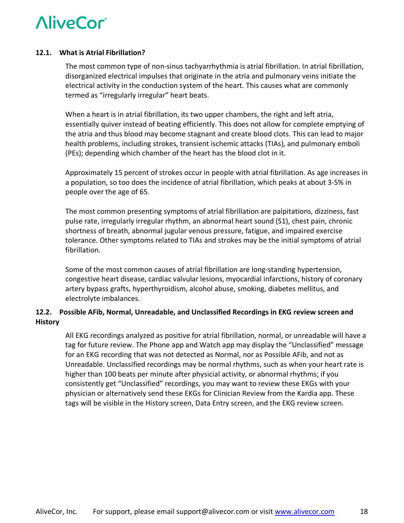#### **12.1. What is Atrial Fibrillation?**

The most common type of non-sinus tachyarrhythmia is atrial fibrillation. In atrial fibrillation, disorganized electrical impulses that originate in the atria and pulmonary veins initiate the electrical activity in the conduction system of the heart. This causes what are commonly termed as "irregularly irregular" heart beats.

When a heart is in atrial fibrillation, its two upper chambers, the right and left atria, essentially quiver instead of beating efficiently. This does not allow for complete emptying of the atria and thus blood may become stagnant and create blood clots. This can lead to major health problems, including strokes, transient ischemic attacks (TIAs), and pulmonary emboli (PEs); depending which chamber of the heart has the blood clot in it.

Approximately 15 percent of strokes occur in people with atrial fibrillation. As age increases in a population, so too does the incidence of atrial fibrillation, which peaks at about 3-5% in people over the age of 65.

The most common presenting symptoms of atrial fibrillation are palpitations, dizziness, fast pulse rate, irregularly irregular rhythm, an abnormal heart sound (S1), chest pain, chronic shortness of breath, abnormal jugular venous pressure, fatigue, and impaired exercise tolerance. Other symptoms related to TIAs and strokes may be the initial symptoms of atrial fibrillation.

Some of the most common causes of atrial fibrillation are long-standing hypertension, congestive heart disease, cardiac valvular lesions, myocardial infarctions, history of coronary artery bypass grafts, hyperthyroidism, alcohol abuse, smoking, diabetes mellitus, and electrolyte imbalances.

#### **12.2. Possible AFib, Normal, Unreadable, and Unclassified Recordings in EKG review screen and History**

All EKG recordings analyzed as positive for atrial fibrillation, normal, or unreadable will have a tag for future review. The Phone app and Watch app may display the "Unclassified" message for an EKG recording that was not detected as Normal, nor as Possible AFib, and not as Unreadable. Unclassified recordings may be normal rhythms, such as when your heart rate is higher than 100 beats per minute after physicial activity, or abnormal rhythms; if you consistently get "Unclassified" recordings, you may want to review these EKGs with your physician or alternatively send these EKGs for Clinician Review from the Kardia app. These tags will be visible in the History screen, Data Entry screen, and the EKG review screen.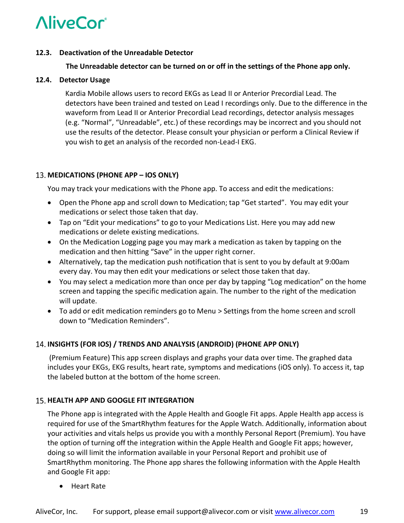#### **12.3. Deactivation of the Unreadable Detector**

#### **The Unreadable detector can be turned on or off in the settings of the Phone app only.**

#### **12.4. Detector Usage**

Kardia Mobile allows users to record EKGs as Lead II or Anterior Precordial Lead. The detectors have been trained and tested on Lead I recordings only. Due to the difference in the waveform from Lead II or Anterior Precordial Lead recordings, detector analysis messages (e.g. "Normal", "Unreadable", etc.) of these recordings may be incorrect and you should not use the results of the detector. Please consult your physician or perform a Clinical Review if you wish to get an analysis of the recorded non-Lead-I EKG.

#### **MEDICATIONS (PHONE APP – IOS ONLY)**

You may track your medications with the Phone app. To access and edit the medications:

- Open the Phone app and scroll down to Medication; tap "Get started". You may edit your medications or select those taken that day.
- Tap on "Edit your medications" to go to your Medications List. Here you may add new medications or delete existing medications.
- On the Medication Logging page you may mark a medication as taken by tapping on the medication and then hitting "Save" in the upper right corner.
- Alternatively, tap the medication push notification that is sent to you by default at 9:00am every day. You may then edit your medications or select those taken that day.
- You may select a medication more than once per day by tapping "Log medication" on the home screen and tapping the specific medication again. The number to the right of the medication will update.
- To add or edit medication reminders go to Menu > Settings from the home screen and scroll down to "Medication Reminders".

#### **INSIGHTS (FOR IOS) / TRENDS AND ANALYSIS (ANDROID) (PHONE APP ONLY)**

(Premium Feature) This app screen displays and graphs your data over time. The graphed data includes your EKGs, EKG results, heart rate, symptoms and medications (iOS only). To access it, tap the labeled button at the bottom of the home screen.

#### **15. HEALTH APP AND GOOGLE FIT INTEGRATION**

The Phone app is integrated with the Apple Health and Google Fit apps. Apple Health app access is required for use of the SmartRhythm features for the Apple Watch. Additionally, information about your activities and vitals helps us provide you with a monthly Personal Report (Premium). You have the option of turning off the integration within the Apple Health and Google Fit apps; however, doing so will limit the information available in your Personal Report and prohibit use of SmartRhythm monitoring. The Phone app shares the following information with the Apple Health and Google Fit app:

• Heart Rate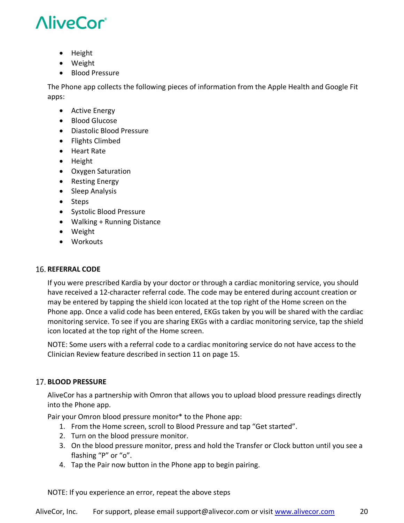- Height
- Weight
- Blood Pressure

The Phone app collects the following pieces of information from the Apple Health and Google Fit apps:

- Active Energy
- Blood Glucose
- Diastolic Blood Pressure
- Flights Climbed
- Heart Rate
- Height
- Oxygen Saturation
- Resting Energy
- Sleep Analysis
- Steps
- Systolic Blood Pressure
- Walking + Running Distance
- Weight
- Workouts

#### **16. REFERRAL CODE**

If you were prescribed Kardia by your doctor or through a cardiac monitoring service, you should have received a 12-character referral code. The code may be entered during account creation or may be entered by tapping the shield icon located at the top right of the Home screen on the Phone app. Once a valid code has been entered, EKGs taken by you will be shared with the cardiac monitoring service. To see if you are sharing EKGs with a cardiac monitoring service, tap the shield icon located at the top right of the Home screen.

NOTE: Some users with a referral code to a cardiac monitoring service do not have access to the Clinician Review feature described in section 11 on page 15.

#### **BLOOD PRESSURE**

AliveCor has a partnership with Omron that allows you to upload blood pressure readings directly into the Phone app.

Pair your Omron blood pressure monitor\* to the Phone app:

- 1. From the Home screen, scroll to Blood Pressure and tap "Get started".
- 2. Turn on the blood pressure monitor.
- 3. On the blood pressure monitor, press and hold the Transfer or Clock button until you see a flashing "P" or "o".
- 4. Tap the Pair now button in the Phone app to begin pairing.

NOTE: If you experience an error, repeat the above steps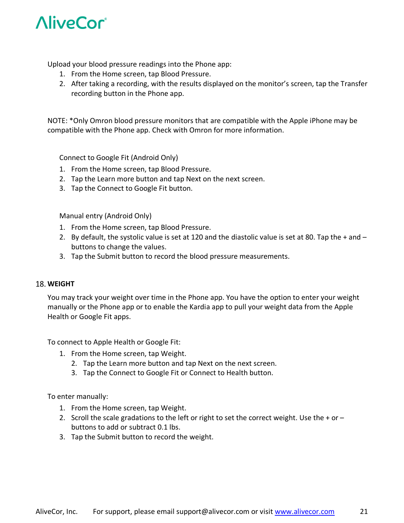

Upload your blood pressure readings into the Phone app:

- 1. From the Home screen, tap Blood Pressure.
- 2. After taking a recording, with the results displayed on the monitor's screen, tap the Transfer recording button in the Phone app.

NOTE: \*Only Omron blood pressure monitors that are compatible with the Apple iPhone may be compatible with the Phone app. Check with Omron for more information.

Connect to Google Fit (Android Only)

- 1. From the Home screen, tap Blood Pressure.
- 2. Tap the Learn more button and tap Next on the next screen.
- 3. Tap the Connect to Google Fit button.

Manual entry (Android Only)

- 1. From the Home screen, tap Blood Pressure.
- 2. By default, the systolic value is set at 120 and the diastolic value is set at 80. Tap the + and buttons to change the values.
- 3. Tap the Submit button to record the blood pressure measurements.

#### 18. WEIGHT

You may track your weight over time in the Phone app. You have the option to enter your weight manually or the Phone app or to enable the Kardia app to pull your weight data from the Apple Health or Google Fit apps.

To connect to Apple Health or Google Fit:

- 1. From the Home screen, tap Weight.
	- 2. Tap the Learn more button and tap Next on the next screen.
	- 3. Tap the Connect to Google Fit or Connect to Health button.

To enter manually:

- 1. From the Home screen, tap Weight.
- 2. Scroll the scale gradations to the left or right to set the correct weight. Use the + or  $$ buttons to add or subtract 0.1 lbs.
- 3. Tap the Submit button to record the weight.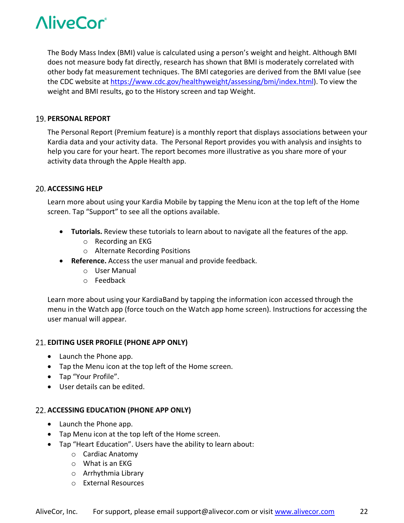The Body Mass Index (BMI) value is calculated using a person's weight and height. Although BMI does not measure body fat directly, research has shown that BMI is moderately correlated with other body fat measurement techniques. The BMI categories are derived from the BMI value (see the CDC website at https://www.cdc.gov/healthyweight/assessing/bmi/index.html). To view the weight and BMI results, go to the History screen and tap Weight.

#### **PERSONAL REPORT**

The Personal Report (Premium feature) is a monthly report that displays associations between your Kardia data and your activity data. The Personal Report provides you with analysis and insights to help you care for your heart. The report becomes more illustrative as you share more of your activity data through the Apple Health app.

#### **ACCESSING HELP**

Learn more about using your Kardia Mobile by tapping the Menu icon at the top left of the Home screen. Tap "Support" to see all the options available.

- **Tutorials.** Review these tutorials to learn about to navigate all the features of the app.
	- o Recording an EKG
	- o Alternate Recording Positions
- **Reference.** Access the user manual and provide feedback.
	- o User Manual
	- o Feedback

Learn more about using your KardiaBand by tapping the information icon accessed through the menu in the Watch app (force touch on the Watch app home screen). Instructions for accessing the user manual will appear.

#### **EDITING USER PROFILE (PHONE APP ONLY)**

- Launch the Phone app.
- Tap the Menu icon at the top left of the Home screen.
- Tap "Your Profile".
- User details can be edited.

#### **ACCESSING EDUCATION (PHONE APP ONLY)**

- Launch the Phone app.
- Tap Menu icon at the top left of the Home screen.
- Tap "Heart Education". Users have the ability to learn about:
	- o Cardiac Anatomy
	- o What is an EKG
	- o Arrhythmia Library
	- o External Resources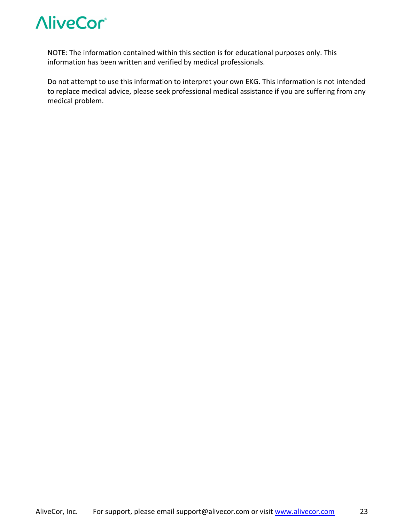

NOTE: The information contained within this section is for educational purposes only. This information has been written and verified by medical professionals.

Do not attempt to use this information to interpret your own EKG. This information is not intended to replace medical advice, please seek professional medical assistance if you are suffering from any medical problem.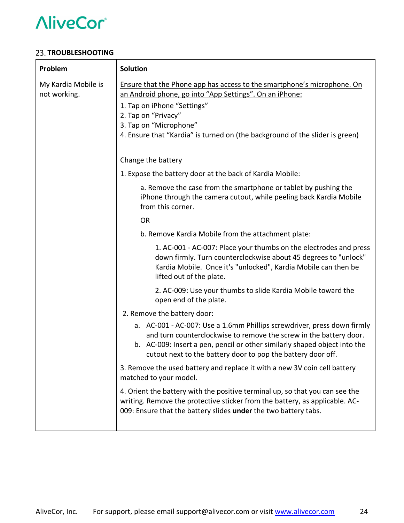#### **23. TROUBLESHOOTING**

| Problem                             | <b>Solution</b>                                                                                                                                                                                                                                                                                    |  |  |
|-------------------------------------|----------------------------------------------------------------------------------------------------------------------------------------------------------------------------------------------------------------------------------------------------------------------------------------------------|--|--|
| My Kardia Mobile is<br>not working. | Ensure that the Phone app has access to the smartphone's microphone. On<br>an Android phone, go into "App Settings". On an iPhone:<br>1. Tap on iPhone "Settings"<br>2. Tap on "Privacy"<br>3. Tap on "Microphone"<br>4. Ensure that "Kardia" is turned on (the background of the slider is green) |  |  |
|                                     | Change the battery                                                                                                                                                                                                                                                                                 |  |  |
|                                     | 1. Expose the battery door at the back of Kardia Mobile:                                                                                                                                                                                                                                           |  |  |
|                                     | a. Remove the case from the smartphone or tablet by pushing the<br>iPhone through the camera cutout, while peeling back Kardia Mobile<br>from this corner.                                                                                                                                         |  |  |
|                                     | <b>OR</b>                                                                                                                                                                                                                                                                                          |  |  |
|                                     | b. Remove Kardia Mobile from the attachment plate:                                                                                                                                                                                                                                                 |  |  |
|                                     | 1. AC-001 - AC-007: Place your thumbs on the electrodes and press<br>down firmly. Turn counterclockwise about 45 degrees to "unlock"<br>Kardia Mobile. Once it's "unlocked", Kardia Mobile can then be<br>lifted out of the plate.                                                                 |  |  |
|                                     | 2. AC-009: Use your thumbs to slide Kardia Mobile toward the<br>open end of the plate.                                                                                                                                                                                                             |  |  |
|                                     | 2. Remove the battery door:                                                                                                                                                                                                                                                                        |  |  |
|                                     | a. AC-001 - AC-007: Use a 1.6mm Phillips screwdriver, press down firmly<br>and turn counterclockwise to remove the screw in the battery door.<br>b. AC-009: Insert a pen, pencil or other similarly shaped object into the<br>cutout next to the battery door to pop the battery door off.         |  |  |
|                                     | 3. Remove the used battery and replace it with a new 3V coin cell battery<br>matched to your model.                                                                                                                                                                                                |  |  |
|                                     | 4. Orient the battery with the positive terminal up, so that you can see the<br>writing. Remove the protective sticker from the battery, as applicable. AC-<br>009: Ensure that the battery slides under the two battery tabs.                                                                     |  |  |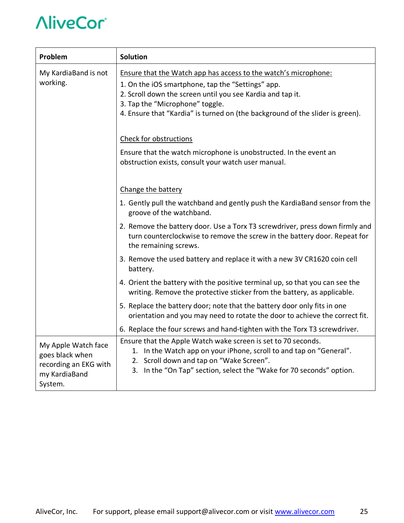| Problem                                                                                     | <b>Solution</b>                                                                                                                                                                                                                                                                                        |  |  |
|---------------------------------------------------------------------------------------------|--------------------------------------------------------------------------------------------------------------------------------------------------------------------------------------------------------------------------------------------------------------------------------------------------------|--|--|
| My KardiaBand is not<br>working.                                                            | Ensure that the Watch app has access to the watch's microphone:<br>1. On the iOS smartphone, tap the "Settings" app.<br>2. Scroll down the screen until you see Kardia and tap it.<br>3. Tap the "Microphone" toggle.<br>4. Ensure that "Kardia" is turned on (the background of the slider is green). |  |  |
|                                                                                             | Check for obstructions<br>Ensure that the watch microphone is unobstructed. In the event an<br>obstruction exists, consult your watch user manual.                                                                                                                                                     |  |  |
|                                                                                             | Change the battery<br>1. Gently pull the watchband and gently push the KardiaBand sensor from the<br>groove of the watchband.                                                                                                                                                                          |  |  |
|                                                                                             | 2. Remove the battery door. Use a Torx T3 screwdriver, press down firmly and<br>turn counterclockwise to remove the screw in the battery door. Repeat for<br>the remaining screws.                                                                                                                     |  |  |
|                                                                                             | 3. Remove the used battery and replace it with a new 3V CR1620 coin cell<br>battery.                                                                                                                                                                                                                   |  |  |
|                                                                                             | 4. Orient the battery with the positive terminal up, so that you can see the<br>writing. Remove the protective sticker from the battery, as applicable.                                                                                                                                                |  |  |
|                                                                                             | 5. Replace the battery door; note that the battery door only fits in one<br>orientation and you may need to rotate the door to achieve the correct fit.                                                                                                                                                |  |  |
|                                                                                             | 6. Replace the four screws and hand-tighten with the Torx T3 screwdriver.                                                                                                                                                                                                                              |  |  |
| My Apple Watch face<br>goes black when<br>recording an EKG with<br>my KardiaBand<br>System. | Ensure that the Apple Watch wake screen is set to 70 seconds.<br>1. In the Watch app on your iPhone, scroll to and tap on "General".<br>2. Scroll down and tap on "Wake Screen".<br>3. In the "On Tap" section, select the "Wake for 70 seconds" option.                                               |  |  |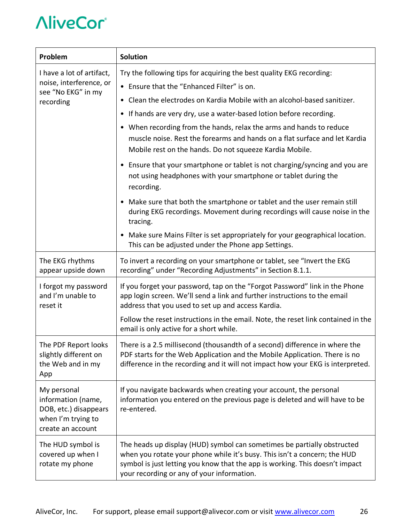| Problem                                                                                               | <b>Solution</b>                                                                                                                                                                                                                                                                    |  |  |  |
|-------------------------------------------------------------------------------------------------------|------------------------------------------------------------------------------------------------------------------------------------------------------------------------------------------------------------------------------------------------------------------------------------|--|--|--|
| I have a lot of artifact,<br>noise, interference, or                                                  | Try the following tips for acquiring the best quality EKG recording:<br>• Ensure that the "Enhanced Filter" is on.                                                                                                                                                                 |  |  |  |
| see "No EKG" in my<br>recording                                                                       | • Clean the electrodes on Kardia Mobile with an alcohol-based sanitizer.                                                                                                                                                                                                           |  |  |  |
|                                                                                                       | • If hands are very dry, use a water-based lotion before recording.                                                                                                                                                                                                                |  |  |  |
|                                                                                                       | • When recording from the hands, relax the arms and hands to reduce<br>muscle noise. Rest the forearms and hands on a flat surface and let Kardia<br>Mobile rest on the hands. Do not squeeze Kardia Mobile.                                                                       |  |  |  |
|                                                                                                       | • Ensure that your smartphone or tablet is not charging/syncing and you are<br>not using headphones with your smartphone or tablet during the<br>recording.                                                                                                                        |  |  |  |
|                                                                                                       | • Make sure that both the smartphone or tablet and the user remain still<br>during EKG recordings. Movement during recordings will cause noise in the<br>tracing.                                                                                                                  |  |  |  |
|                                                                                                       | Make sure Mains Filter is set appropriately for your geographical location.<br>This can be adjusted under the Phone app Settings.                                                                                                                                                  |  |  |  |
| The EKG rhythms<br>appear upside down                                                                 | To invert a recording on your smartphone or tablet, see "Invert the EKG<br>recording" under "Recording Adjustments" in Section 8.1.1.                                                                                                                                              |  |  |  |
| I forgot my password<br>and I'm unable to<br>reset it                                                 | If you forget your password, tap on the "Forgot Password" link in the Phone<br>app login screen. We'll send a link and further instructions to the email<br>address that you used to set up and access Kardia.                                                                     |  |  |  |
|                                                                                                       | Follow the reset instructions in the email. Note, the reset link contained in the<br>email is only active for a short while.                                                                                                                                                       |  |  |  |
| The PDF Report looks<br>slightly different on<br>the Web and in my<br>App                             | There is a 2.5 millisecond (thousandth of a second) difference in where the<br>PDF starts for the Web Application and the Mobile Application. There is no<br>difference in the recording and it will not impact how your EKG is interpreted.                                       |  |  |  |
| My personal<br>information (name,<br>DOB, etc.) disappears<br>when I'm trying to<br>create an account | If you navigate backwards when creating your account, the personal<br>information you entered on the previous page is deleted and will have to be<br>re-entered.                                                                                                                   |  |  |  |
| The HUD symbol is<br>covered up when I<br>rotate my phone                                             | The heads up display (HUD) symbol can sometimes be partially obstructed<br>when you rotate your phone while it's busy. This isn't a concern; the HUD<br>symbol is just letting you know that the app is working. This doesn't impact<br>your recording or any of your information. |  |  |  |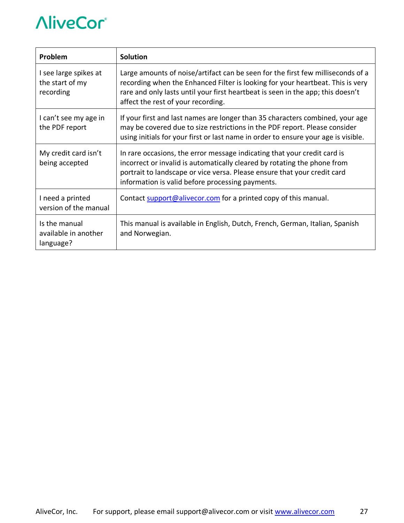| Problem                                               | <b>Solution</b>                                                                                                                                                                                                                                                                            |
|-------------------------------------------------------|--------------------------------------------------------------------------------------------------------------------------------------------------------------------------------------------------------------------------------------------------------------------------------------------|
| I see large spikes at<br>the start of my<br>recording | Large amounts of noise/artifact can be seen for the first few milliseconds of a<br>recording when the Enhanced Filter is looking for your heartbeat. This is very<br>rare and only lasts until your first heartbeat is seen in the app; this doesn't<br>affect the rest of your recording. |
| I can't see my age in<br>the PDF report               | If your first and last names are longer than 35 characters combined, your age<br>may be covered due to size restrictions in the PDF report. Please consider<br>using initials for your first or last name in order to ensure your age is visible.                                          |
| My credit card isn't<br>being accepted                | In rare occasions, the error message indicating that your credit card is<br>incorrect or invalid is automatically cleared by rotating the phone from<br>portrait to landscape or vice versa. Please ensure that your credit card<br>information is valid before processing payments.       |
| I need a printed<br>version of the manual             | Contact support@alivecor.com for a printed copy of this manual.                                                                                                                                                                                                                            |
| Is the manual<br>available in another<br>language?    | This manual is available in English, Dutch, French, German, Italian, Spanish<br>and Norwegian.                                                                                                                                                                                             |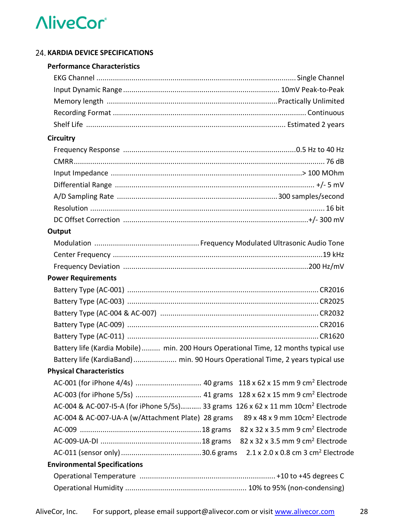#### **24. KARDIA DEVICE SPECIFICATIONS**

#### **Performance Characteristics**

| <b>Circuitry</b>                                                                             |                                                            |
|----------------------------------------------------------------------------------------------|------------------------------------------------------------|
|                                                                                              |                                                            |
|                                                                                              |                                                            |
|                                                                                              |                                                            |
|                                                                                              |                                                            |
|                                                                                              |                                                            |
|                                                                                              |                                                            |
|                                                                                              |                                                            |
| Output                                                                                       |                                                            |
|                                                                                              |                                                            |
|                                                                                              |                                                            |
|                                                                                              |                                                            |
| <b>Power Requirements</b>                                                                    |                                                            |
|                                                                                              |                                                            |
|                                                                                              |                                                            |
|                                                                                              |                                                            |
|                                                                                              |                                                            |
|                                                                                              |                                                            |
| Battery life (Kardia Mobile)  min. 200 Hours Operational Time, 12 months typical use         |                                                            |
| Battery life (KardiaBand)  min. 90 Hours Operational Time, 2 years typical use               |                                                            |
| <b>Physical Characteristics</b>                                                              |                                                            |
|                                                                                              |                                                            |
|                                                                                              |                                                            |
| AC-004 & AC-007-15-A (for iPhone 5/5s) 33 grams 126 x 62 x 11 mm 10cm <sup>2</sup> Electrode |                                                            |
| AC-004 & AC-007-UA-A (w/Attachment Plate) 28 grams                                           | 89 x 48 x 9 mm 10cm <sup>2</sup> Electrode                 |
|                                                                                              | 82 x 32 x 3.5 mm 9 cm <sup>2</sup> Electrode               |
|                                                                                              | 82 x 32 x 3.5 mm 9 cm <sup>2</sup> Electrode               |
|                                                                                              | $2.1 \times 2.0 \times 0.8$ cm 3 cm <sup>2</sup> Electrode |
| <b>Environmental Specifications</b>                                                          |                                                            |
|                                                                                              |                                                            |
|                                                                                              |                                                            |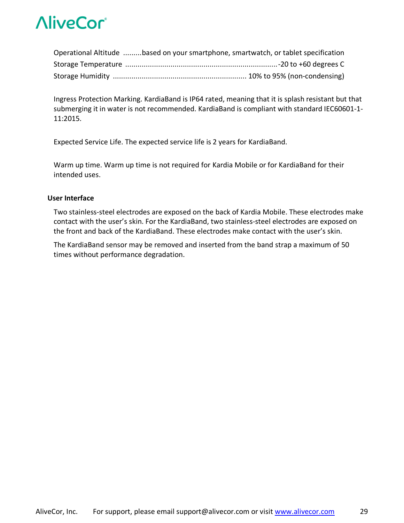| Operational Altitude based on your smartphone, smartwatch, or tablet specification |  |
|------------------------------------------------------------------------------------|--|
|                                                                                    |  |
|                                                                                    |  |

Ingress Protection Marking. KardiaBand is IP64 rated, meaning that it is splash resistant but that submerging it in water is not recommended. KardiaBand is compliant with standard IEC60601-1- 11:2015.

Expected Service Life. The expected service life is 2 years for KardiaBand.

Warm up time. Warm up time is not required for Kardia Mobile or for KardiaBand for their intended uses.

#### **User Interface**

Two stainless-steel electrodes are exposed on the back of Kardia Mobile. These electrodes make contact with the user's skin. For the KardiaBand, two stainless-steel electrodes are exposed on the front and back of the KardiaBand. These electrodes make contact with the user's skin.

The KardiaBand sensor may be removed and inserted from the band strap a maximum of 50 times without performance degradation.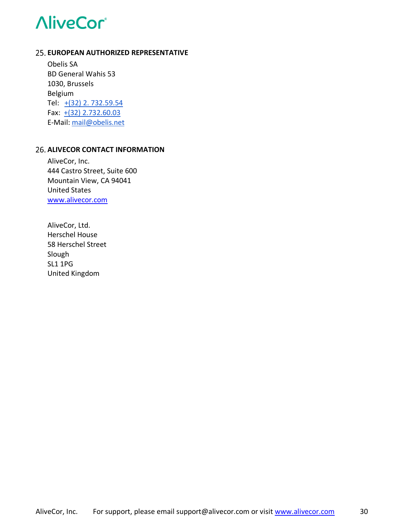#### **EUROPEAN AUTHORIZED REPRESENTATIVE**

Obelis SA BD General Wahis 53 1030, Brussels Belgium Tel: +(32) 2. 732.59.54 Fax: +(32) 2.732.60.03 E-Mail: mail@obelis.net

#### **26. ALIVECOR CONTACT INFORMATION**

AliveCor, Inc. 444 Castro Street, Suite 600 Mountain View, CA 94041 United States www.alivecor.com

AliveCor, Ltd. Herschel House 58 Herschel Street Slough SL1 1PG United Kingdom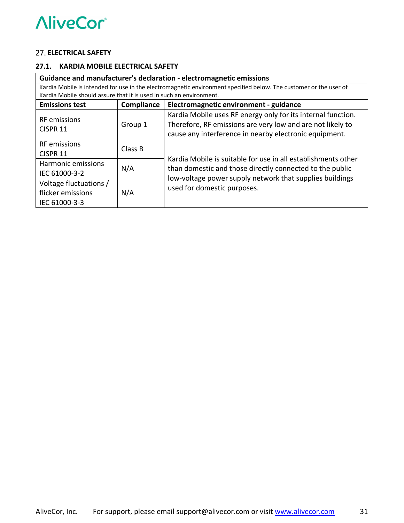#### **ELECTRICAL SAFETY**

#### **27.1. KARDIA MOBILE ELECTRICAL SAFETY**

| Guidance and manufacturer's declaration - electromagnetic emissions                                                                                                                      |         |                                                                                                                      |  |  |
|------------------------------------------------------------------------------------------------------------------------------------------------------------------------------------------|---------|----------------------------------------------------------------------------------------------------------------------|--|--|
| Kardia Mobile is intended for use in the electromagnetic environment specified below. The customer or the user of<br>Kardia Mobile should assure that it is used in such an environment. |         |                                                                                                                      |  |  |
|                                                                                                                                                                                          |         |                                                                                                                      |  |  |
| <b>Emissions test</b><br>Electromagnetic environment - guidance<br>Compliance                                                                                                            |         |                                                                                                                      |  |  |
| RF emissions                                                                                                                                                                             | Group 1 | Kardia Mobile uses RF energy only for its internal function.                                                         |  |  |
| CISPR <sub>11</sub>                                                                                                                                                                      |         | Therefore, RF emissions are very low and are not likely to                                                           |  |  |
|                                                                                                                                                                                          |         | cause any interference in nearby electronic equipment.                                                               |  |  |
| <b>RF</b> emissions<br>Class B<br><b>CISPR 11</b>                                                                                                                                        |         |                                                                                                                      |  |  |
|                                                                                                                                                                                          |         | Kardia Mobile is suitable for use in all establishments other                                                        |  |  |
| Harmonic emissions                                                                                                                                                                       | N/A     | than domestic and those directly connected to the public<br>low-voltage power supply network that supplies buildings |  |  |
| IEC 61000-3-2                                                                                                                                                                            |         |                                                                                                                      |  |  |
| Voltage fluctuations /                                                                                                                                                                   |         |                                                                                                                      |  |  |
| flicker emissions                                                                                                                                                                        | N/A     | used for domestic purposes.                                                                                          |  |  |
| IEC 61000-3-3                                                                                                                                                                            |         |                                                                                                                      |  |  |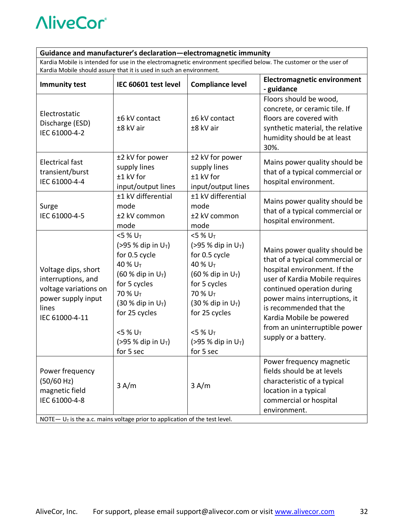#### **Guidance and manufacturer's declaration—electromagnetic immunity**

Kardia Mobile is intended for use in the electromagnetic environment specified below. The customer or the user of Kardia Mobile should assure that it is used in such an environment.

| <b>Immunity test</b>                                                                                                                              | IEC 60601 test level                                                                                                                                                                                                                                                                  | <b>Compliance level</b>                                                                                                                                                                                                                                                    | <b>Electromagnetic environment</b><br>- guidance                                                                                                                                                                                                                                                                  |
|---------------------------------------------------------------------------------------------------------------------------------------------------|---------------------------------------------------------------------------------------------------------------------------------------------------------------------------------------------------------------------------------------------------------------------------------------|----------------------------------------------------------------------------------------------------------------------------------------------------------------------------------------------------------------------------------------------------------------------------|-------------------------------------------------------------------------------------------------------------------------------------------------------------------------------------------------------------------------------------------------------------------------------------------------------------------|
| Electrostatic<br>Discharge (ESD)<br>IEC 61000-4-2                                                                                                 | ±6 kV contact<br>±8 kV air                                                                                                                                                                                                                                                            | ±6 kV contact<br>±8 kV air                                                                                                                                                                                                                                                 | Floors should be wood,<br>concrete, or ceramic tile. If<br>floors are covered with<br>synthetic material, the relative<br>humidity should be at least<br>30%.                                                                                                                                                     |
| <b>Electrical fast</b><br>transient/burst<br>IEC 61000-4-4                                                                                        | ±2 kV for power<br>supply lines<br>±1 kV for<br>input/output lines                                                                                                                                                                                                                    | ±2 kV for power<br>supply lines<br>±1 kV for<br>input/output lines                                                                                                                                                                                                         | Mains power quality should be<br>that of a typical commercial or<br>hospital environment.                                                                                                                                                                                                                         |
| Surge<br>IEC 61000-4-5                                                                                                                            | ±1 kV differential<br>mode<br>±2 kV common<br>mode                                                                                                                                                                                                                                    | ±1 kV differential<br>mode<br>±2 kV common<br>mode                                                                                                                                                                                                                         | Mains power quality should be<br>that of a typical commercial or<br>hospital environment.                                                                                                                                                                                                                         |
| Voltage dips, short<br>interruptions, and<br>voltage variations on<br>power supply input<br>lines<br>IEC 61000-4-11                               | $<$ 5 % U <sub>T</sub><br>(>95 % dip in $U_T$ )<br>for 0.5 cycle<br>40 % U <sub>T</sub><br>$(60 %$ dip in U <sub>T</sub> )<br>for 5 cycles<br>70 % U <sub>T</sub><br>$(30 %$ dip in U <sub>T</sub> )<br>for 25 cycles<br>$<$ 5 % U <sub>T</sub><br>(>95 % dip in $U_T$ )<br>for 5 sec | $<$ 5 % U <sub>T</sub><br>(>95 % dip in $U_T$ )<br>for 0.5 cycle<br>40 % U <sub>T</sub><br>(60 % dip in $U_T$ )<br>for 5 cycles<br>70 % U <sub>T</sub><br>$(30 %$ dip in U <sub>T</sub> )<br>for 25 cycles<br>$<$ 5 % U <sub>T</sub><br>(>95 % dip in $U_T$ )<br>for 5 sec | Mains power quality should be<br>that of a typical commercial or<br>hospital environment. If the<br>user of Kardia Mobile requires<br>continued operation during<br>power mains interruptions, it<br>is recommended that the<br>Kardia Mobile be powered<br>from an uninterruptible power<br>supply or a battery. |
| Power frequency<br>(50/60 Hz)<br>magnetic field<br>IEC 61000-4-8<br>NOTE $- UT$ is the a.c. mains voltage prior to application of the test level. | 3 A/m                                                                                                                                                                                                                                                                                 | 3 A/m                                                                                                                                                                                                                                                                      | Power frequency magnetic<br>fields should be at levels<br>characteristic of a typical<br>location in a typical<br>commercial or hospital<br>environment.                                                                                                                                                          |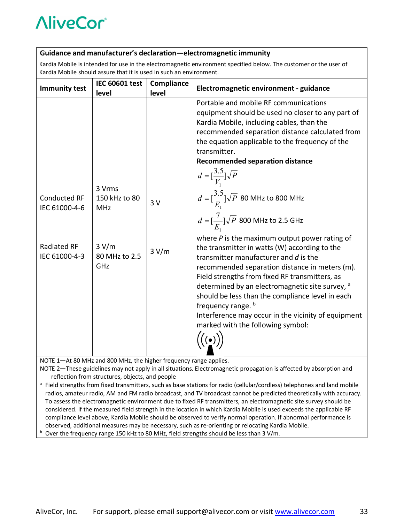#### **Guidance and manufacturer's declaration—electromagnetic immunity**

Kardia Mobile is intended for use in the electromagnetic environment specified below. The customer or the user of Kardia Mobile should assure that it is used in such an environment.

|                                                                                                                                                                       | <b>IEC 60601 test</b>                                                  | Compliance  |                                                                                                                                                                                                                                                                                                                                                                                                                                                                                                                                                                                                                                                                                                                                                                                                                                           |  |
|-----------------------------------------------------------------------------------------------------------------------------------------------------------------------|------------------------------------------------------------------------|-------------|-------------------------------------------------------------------------------------------------------------------------------------------------------------------------------------------------------------------------------------------------------------------------------------------------------------------------------------------------------------------------------------------------------------------------------------------------------------------------------------------------------------------------------------------------------------------------------------------------------------------------------------------------------------------------------------------------------------------------------------------------------------------------------------------------------------------------------------------|--|
| <b>Immunity test</b>                                                                                                                                                  | level                                                                  | level       | Electromagnetic environment - guidance                                                                                                                                                                                                                                                                                                                                                                                                                                                                                                                                                                                                                                                                                                                                                                                                    |  |
| <b>Conducted RF</b><br>IEC 61000-4-6<br>Radiated RF<br>IEC 61000-4-3                                                                                                  | 3 Vrms<br>150 kHz to 80<br><b>MHz</b><br>3 V/m<br>80 MHz to 2.5<br>GHz | 3V<br>3 V/m | Portable and mobile RF communications<br>equipment should be used no closer to any part of<br>Kardia Mobile, including cables, than the<br>recommended separation distance calculated from<br>the equation applicable to the frequency of the<br>transmitter.<br><b>Recommended separation distance</b><br>$d = [\frac{3.5}{V}]\sqrt{P}$<br>$d = \left[\frac{3.5}{E_1}\right] \sqrt{P}$ 80 MHz to 800 MHz<br>$d = [\frac{7}{E}]\sqrt{P}$ 800 MHz to 2.5 GHz<br>where $P$ is the maximum output power rating of<br>the transmitter in watts (W) according to the<br>transmitter manufacturer and d is the<br>recommended separation distance in meters (m).<br>Field strengths from fixed RF transmitters, as<br>determined by an electromagnetic site survey, a<br>should be less than the compliance level in each<br>frequency range. b |  |
|                                                                                                                                                                       |                                                                        |             | Interference may occur in the vicinity of equipment<br>marked with the following symbol:                                                                                                                                                                                                                                                                                                                                                                                                                                                                                                                                                                                                                                                                                                                                                  |  |
|                                                                                                                                                                       |                                                                        |             |                                                                                                                                                                                                                                                                                                                                                                                                                                                                                                                                                                                                                                                                                                                                                                                                                                           |  |
| NOTE 1-At 80 MHz and 800 MHz, the higher frequency range applies.                                                                                                     |                                                                        |             |                                                                                                                                                                                                                                                                                                                                                                                                                                                                                                                                                                                                                                                                                                                                                                                                                                           |  |
| NOTE 2-These guidelines may not apply in all situations. Electromagnetic propagation is affected by absorption and<br>reflection from structures, objects, and people |                                                                        |             |                                                                                                                                                                                                                                                                                                                                                                                                                                                                                                                                                                                                                                                                                                                                                                                                                                           |  |
| <sup>a</sup> Field strengths from fixed transmitters, such as base stations for radio (cellular/cordless) telephones and land mobile                                  |                                                                        |             |                                                                                                                                                                                                                                                                                                                                                                                                                                                                                                                                                                                                                                                                                                                                                                                                                                           |  |
| radios, amateur radio, AM and FM radio broadcast, and TV broadcast cannot be predicted theoretically with accuracy.                                                   |                                                                        |             |                                                                                                                                                                                                                                                                                                                                                                                                                                                                                                                                                                                                                                                                                                                                                                                                                                           |  |
| To assess the electromagnetic environment due to fixed RF transmitters, an electromagnetic site survey should be                                                      |                                                                        |             |                                                                                                                                                                                                                                                                                                                                                                                                                                                                                                                                                                                                                                                                                                                                                                                                                                           |  |
| considered. If the measured field strength in the location in which Kardia Mobile is used exceeds the applicable RF                                                   |                                                                        |             |                                                                                                                                                                                                                                                                                                                                                                                                                                                                                                                                                                                                                                                                                                                                                                                                                                           |  |
| compliance level above, Kardia Mobile should be observed to verify normal operation. If abnormal performance is                                                       |                                                                        |             |                                                                                                                                                                                                                                                                                                                                                                                                                                                                                                                                                                                                                                                                                                                                                                                                                                           |  |
| observed, additional measures may be necessary, such as re-orienting or relocating Kardia Mobile.                                                                     |                                                                        |             |                                                                                                                                                                                                                                                                                                                                                                                                                                                                                                                                                                                                                                                                                                                                                                                                                                           |  |

b Over the frequency range 150 kHz to 80 MHz, field strengths should be less than 3 V/m.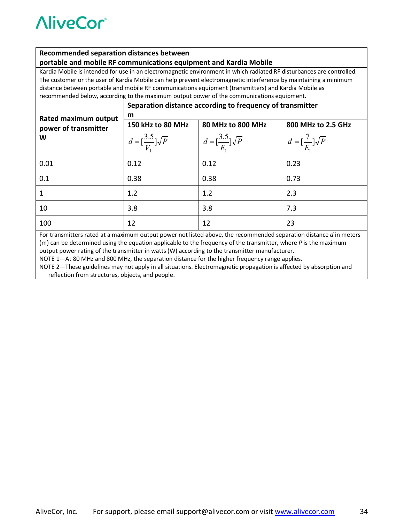#### **Recommended separation distances between**

#### **portable and mobile RF communications equipment and Kardia Mobile**

Kardia Mobile is intended for use in an electromagnetic environment in which radiated RF disturbances are controlled. The customer or the user of Kardia Mobile can help prevent electromagnetic interference by maintaining a minimum distance between portable and mobile RF communications equipment (transmitters) and Kardia Mobile as recommended below, according to the maximum output power of the communications equipment.

|                                                                                                                    | Separation distance according to frequency of transmitter |                                           |                                         |  |
|--------------------------------------------------------------------------------------------------------------------|-----------------------------------------------------------|-------------------------------------------|-----------------------------------------|--|
| Rated maximum output                                                                                               | m                                                         |                                           |                                         |  |
| power of transmitter                                                                                               | 150 kHz to 80 MHz                                         | 80 MHz to 800 MHz                         | 800 MHz to 2.5 GHz                      |  |
| W                                                                                                                  | $d = \left[\frac{3.5}{V}\right] \sqrt{P}$                 | $d = \left[\frac{3.5}{E}\right] \sqrt{P}$ | $d = \left[\frac{7}{E}\right] \sqrt{P}$ |  |
| 0.01                                                                                                               | 0.12                                                      | 0.12                                      | 0.23                                    |  |
| 0.1                                                                                                                | 0.38                                                      | 0.38                                      | 0.73                                    |  |
|                                                                                                                    | 1.2                                                       | 1.2                                       | 2.3                                     |  |
| 10                                                                                                                 | 3.8                                                       | 3.8                                       | 7.3                                     |  |
| 100                                                                                                                | 12                                                        | 12                                        | 23                                      |  |
| For transmitters rated at a maximum output power not listed above, the recommended separation distance d in meters |                                                           |                                           |                                         |  |

(m) can be determined using the equation applicable to the frequency of the transmitter, where *P* is the maximum output power rating of the transmitter in watts (W) according to the transmitter manufacturer.

NOTE 1—At 80 MHz and 800 MHz, the separation distance for the higher frequency range applies.

NOTE 2—These guidelines may not apply in all situations. Electromagnetic propagation is affected by absorption and reflection from structures, objects, and people.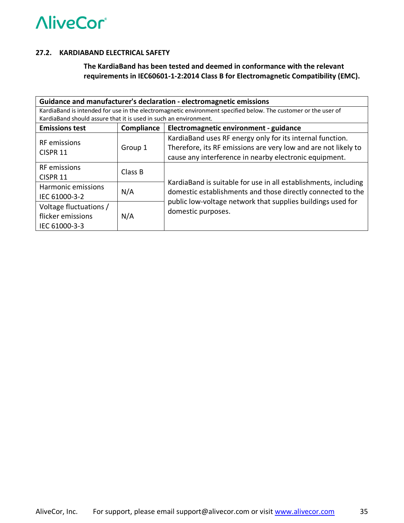#### **27.2. KARDIABAND ELECTRICAL SAFETY**

**The KardiaBand has been tested and deemed in conformance with the relevant requirements in IEC60601-1-2:2014 Class B for Electromagnetic Compatibility (EMC).**

| Guidance and manufacturer's declaration - electromagnetic emissions                                            |            |                                                                                                                            |                          |  |
|----------------------------------------------------------------------------------------------------------------|------------|----------------------------------------------------------------------------------------------------------------------------|--------------------------|--|
| KardiaBand is intended for use in the electromagnetic environment specified below. The customer or the user of |            |                                                                                                                            |                          |  |
| KardiaBand should assure that it is used in such an environment.                                               |            |                                                                                                                            |                          |  |
| <b>Emissions test</b>                                                                                          | Compliance | Electromagnetic environment - guidance                                                                                     |                          |  |
|                                                                                                                | Group 1    | KardiaBand uses RF energy only for its internal function.                                                                  |                          |  |
| <b>RF</b> emissions                                                                                            |            | Therefore, its RF emissions are very low and are not likely to                                                             |                          |  |
| CISPR <sub>11</sub>                                                                                            |            | cause any interference in nearby electronic equipment.                                                                     |                          |  |
| <b>RF</b> emissions                                                                                            | Class B    |                                                                                                                            |                          |  |
| <b>CISPR 11</b>                                                                                                |            |                                                                                                                            |                          |  |
| Harmonic emissions                                                                                             |            | KardiaBand is suitable for use in all establishments, including                                                            |                          |  |
| N/A<br>IEC 61000-3-2<br>Voltage fluctuations /                                                                 |            | domestic establishments and those directly connected to the<br>public low-voltage network that supplies buildings used for |                          |  |
|                                                                                                                |            |                                                                                                                            | flicker emissions<br>N/A |  |
| IEC 61000-3-3                                                                                                  |            |                                                                                                                            |                          |  |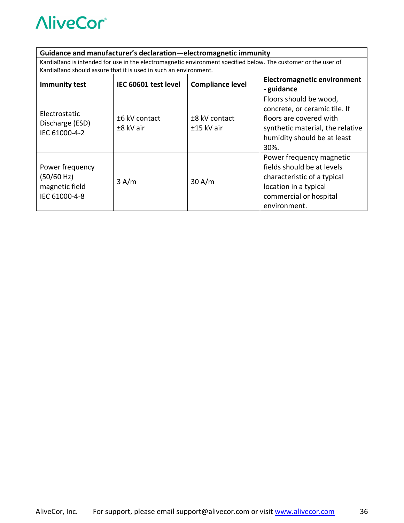#### **Guidance and manufacturer's declaration—electromagnetic immunity**

KardiaBand is intended for use in the electromagnetic environment specified below. The customer or the user of KardiaBand should assure that it is used in such an environment.

| <b>Immunity test</b>                                             | IEC 60601 test level       | <b>Compliance level</b>     | <b>Electromagnetic environment</b><br>- guidance                                                                                                              |
|------------------------------------------------------------------|----------------------------|-----------------------------|---------------------------------------------------------------------------------------------------------------------------------------------------------------|
| Electrostatic<br>Discharge (ESD)<br>IEC 61000-4-2                | ±6 kV contact<br>±8 kV air | ±8 kV contact<br>±15 kV air | Floors should be wood,<br>concrete, or ceramic tile. If<br>floors are covered with<br>synthetic material, the relative<br>humidity should be at least<br>30%. |
| Power frequency<br>(50/60 Hz)<br>magnetic field<br>IEC 61000-4-8 | 3 A/m                      | 30 A/m                      | Power frequency magnetic<br>fields should be at levels<br>characteristic of a typical<br>location in a typical<br>commercial or hospital<br>environment.      |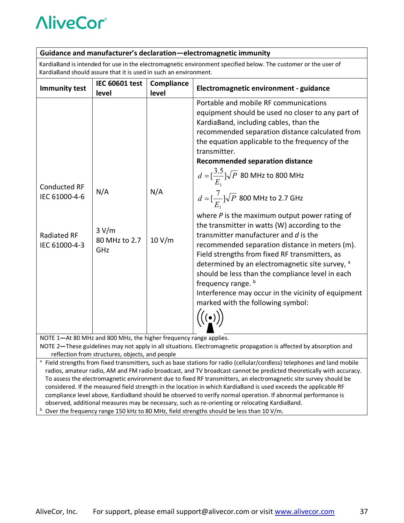#### **Guidance and manufacturer's declaration—electromagnetic immunity**

KardiaBand is intended for use in the electromagnetic environment specified below. The customer or the user of KardiaBand should assure that it is used in such an environment.

| <b>Immunity test</b>                                                                                                                                                  | <b>IEC 60601 test</b><br>level       | Compliance<br>level | Electromagnetic environment - guidance                                                                                                                                                                                                                                                                                                                                                                                                                                                                                                                                                                                                                                                                                                                                                                                                                                                            |  |
|-----------------------------------------------------------------------------------------------------------------------------------------------------------------------|--------------------------------------|---------------------|---------------------------------------------------------------------------------------------------------------------------------------------------------------------------------------------------------------------------------------------------------------------------------------------------------------------------------------------------------------------------------------------------------------------------------------------------------------------------------------------------------------------------------------------------------------------------------------------------------------------------------------------------------------------------------------------------------------------------------------------------------------------------------------------------------------------------------------------------------------------------------------------------|--|
| <b>Conducted RF</b><br>IEC 61000-4-6<br><b>Radiated RF</b><br>IEC 61000-4-3                                                                                           | N/A<br>3 V/m<br>80 MHz to 2.7<br>GHz | N/A<br>10 V/m       | Portable and mobile RF communications<br>equipment should be used no closer to any part of<br>KardiaBand, including cables, than the<br>recommended separation distance calculated from<br>the equation applicable to the frequency of the<br>transmitter.<br><b>Recommended separation distance</b><br>$d = [\frac{3.5}{E_1}]\sqrt{P}$ 80 MHz to 800 MHz<br>$d = \left[\frac{7}{E}\right] \sqrt{P}$ 800 MHz to 2.7 GHz<br>where $P$ is the maximum output power rating of<br>the transmitter in watts (W) according to the<br>transmitter manufacturer and d is the<br>recommended separation distance in meters (m).<br>Field strengths from fixed RF transmitters, as<br>determined by an electromagnetic site survey, a<br>should be less than the compliance level in each<br>frequency range. b<br>Interference may occur in the vicinity of equipment<br>marked with the following symbol: |  |
| NOTE 1-At 80 MHz and 800 MHz, the higher frequency range applies.                                                                                                     |                                      |                     |                                                                                                                                                                                                                                                                                                                                                                                                                                                                                                                                                                                                                                                                                                                                                                                                                                                                                                   |  |
| NOTE 2-These guidelines may not apply in all situations. Electromagnetic propagation is affected by absorption and<br>reflection from structures, objects, and people |                                      |                     |                                                                                                                                                                                                                                                                                                                                                                                                                                                                                                                                                                                                                                                                                                                                                                                                                                                                                                   |  |
| <sup>a</sup> Field strengths from fixed transmitters, such as base stations for radio (cellular/cordless) telephones and land mobile                                  |                                      |                     |                                                                                                                                                                                                                                                                                                                                                                                                                                                                                                                                                                                                                                                                                                                                                                                                                                                                                                   |  |
| radios, amateur radio, AM and FM radio broadcast, and TV broadcast cannot be predicted theoretically with accuracy.                                                   |                                      |                     |                                                                                                                                                                                                                                                                                                                                                                                                                                                                                                                                                                                                                                                                                                                                                                                                                                                                                                   |  |

- To assess the electromagnetic environment due to fixed RF transmitters, an electromagnetic site survey should be considered. If the measured field strength in the location in which KardiaBand is used exceeds the applicable RF compliance level above, KardiaBand should be observed to verify normal operation. If abnormal performance is observed, additional measures may be necessary, such as re-orienting or relocating KardiaBand.
- b Over the frequency range 150 kHz to 80 MHz, field strengths should be less than 10 V/m.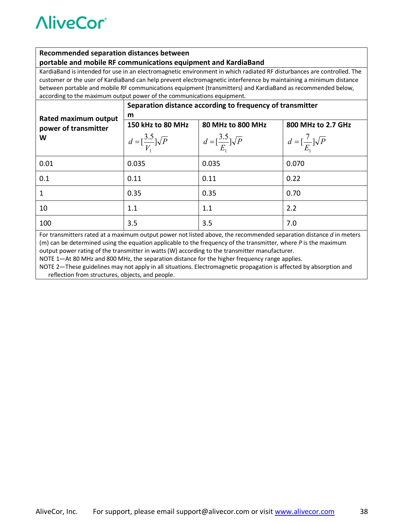#### **Recommended separation distances between**

#### **portable and mobile RF communications equipment and KardiaBand**

KardiaBand is intended for use in an electromagnetic environment in which radiated RF disturbances are controlled. The customer or the user of KardiaBand can help prevent electromagnetic interference by maintaining a minimum distance between portable and mobile RF communications equipment (transmitters) and KardiaBand as recommended below, according to the maximum output power of the communications equipment.

|                                                                                                                    | Separation distance according to frequency of transmitter |                                           |                                         |  |
|--------------------------------------------------------------------------------------------------------------------|-----------------------------------------------------------|-------------------------------------------|-----------------------------------------|--|
| Rated maximum output<br>power of transmitter                                                                       | m                                                         |                                           |                                         |  |
|                                                                                                                    | 150 kHz to 80 MHz                                         | 80 MHz to 800 MHz                         | 800 MHz to 2.7 GHz                      |  |
| W                                                                                                                  | $d = \left[\frac{3.5}{V}\right] \sqrt{P}$                 | $d = \left[\frac{3.5}{E}\right] \sqrt{P}$ | $d = \left[\frac{7}{E}\right] \sqrt{P}$ |  |
| 0.01                                                                                                               | 0.035                                                     | 0.035                                     | 0.070                                   |  |
| 0.1                                                                                                                | 0.11                                                      | 0.11                                      | 0.22                                    |  |
|                                                                                                                    | 0.35                                                      | 0.35                                      | 0.70                                    |  |
| 10                                                                                                                 | 1.1                                                       | 1.1                                       | 2.2                                     |  |
| 100                                                                                                                | 3.5                                                       | 3.5                                       | 7.0                                     |  |
| For transmitters rated at a maximum output power not listed above, the recommended separation distance d in meters |                                                           |                                           |                                         |  |

(m) can be determined using the equation applicable to the frequency of the transmitter, where *P* is the maximum output power rating of the transmitter in watts (W) according to the transmitter manufacturer.

NOTE 1—At 80 MHz and 800 MHz, the separation distance for the higher frequency range applies.

NOTE 2—These guidelines may not apply in all situations. Electromagnetic propagation is affected by absorption and reflection from structures, objects, and people.